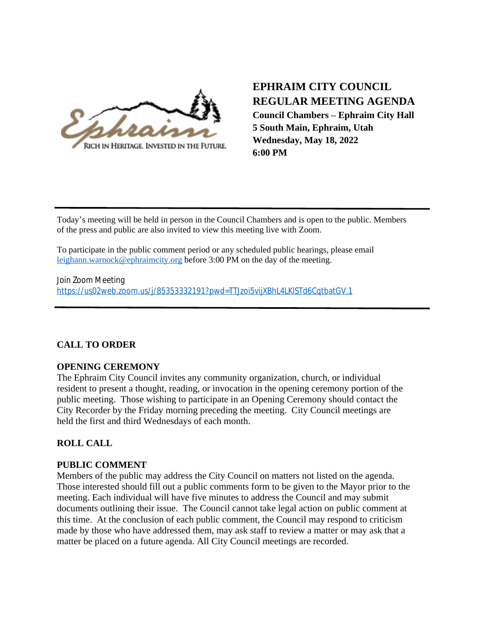

# **EPHRAIM CITY COUNCIL REGULAR MEETING AGENDA Council Chambers – Ephraim City Hall 5 South Main, Ephraim, Utah Wednesday, May 18, 2022 6:00 PM**

Today's meeting will be held in person in the Council Chambers and is open to the public. Members of the press and public are also invited to view this meeting live with Zoom.

To participate in the public comment period or any scheduled public hearings, please email [leighann.warnock@ephraimcity.org](mailto:leighann.warnock@ephraimcity.org) before 3:00 PM on the day of the meeting.

Join Zoom Meeting <https://us02web.zoom.us/j/85353332191?pwd=TTJzoi5vijXBhL4LKlSTd6CqtbatGV.1>

### **CALL TO ORDER**

#### **OPENING CEREMONY**

The Ephraim City Council invites any community organization, church, or individual resident to present a thought, reading, or invocation in the opening ceremony portion of the public meeting. Those wishing to participate in an Opening Ceremony should contact the City Recorder by the Friday morning preceding the meeting. City Council meetings are held the first and third Wednesdays of each month.

### **ROLL CALL**

### **PUBLIC COMMENT**

Members of the public may address the City Council on matters not listed on the agenda. Those interested should fill out a public comments form to be given to the Mayor prior to the meeting. Each individual will have five minutes to address the Council and may submit documents outlining their issue. The Council cannot take legal action on public comment at this time. At the conclusion of each public comment, the Council may respond to criticism made by those who have addressed them, may ask staff to review a matter or may ask that a matter be placed on a future agenda. All City Council meetings are recorded.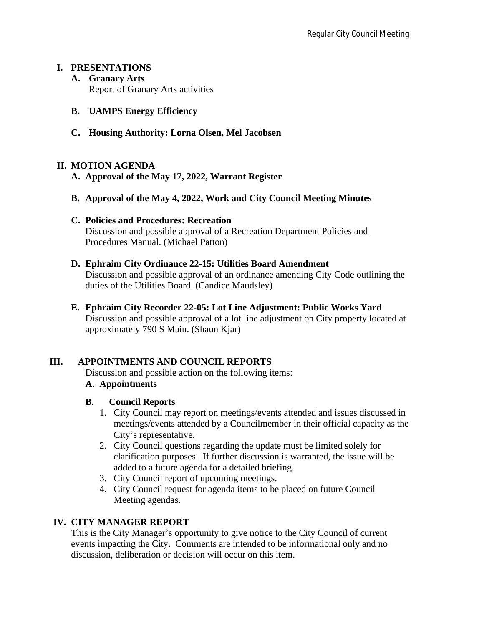### **I. PRESENTATIONS**

- **A. Granary Arts** Report of Granary Arts activities
- **B. UAMPS Energy Efficiency**
- **C. Housing Authority: Lorna Olsen, Mel Jacobsen**

### **II. MOTION AGENDA**

- **A. Approval of the May 17, 2022, Warrant Register**
- **B. Approval of the May 4, 2022, Work and City Council Meeting Minutes**
- **C. Policies and Procedures: Recreation** Discussion and possible approval of a Recreation Department Policies and Procedures Manual. (Michael Patton)
- **D. Ephraim City Ordinance 22-15: Utilities Board Amendment** Discussion and possible approval of an ordinance amending City Code outlining the duties of the Utilities Board. (Candice Maudsley)
- **E. Ephraim City Recorder 22-05: Lot Line Adjustment: Public Works Yard** Discussion and possible approval of a lot line adjustment on City property located at approximately 790 S Main. (Shaun Kjar)

# **III. APPOINTMENTS AND COUNCIL REPORTS**

Discussion and possible action on the following items:

# **A. Appointments**

- **B. Council Reports**
	- 1. City Council may report on meetings/events attended and issues discussed in meetings/events attended by a Councilmember in their official capacity as the City's representative.
	- 2. City Council questions regarding the update must be limited solely for clarification purposes. If further discussion is warranted, the issue will be added to a future agenda for a detailed briefing.
	- 3. City Council report of upcoming meetings.
	- 4. City Council request for agenda items to be placed on future Council Meeting agendas.

# **IV. CITY MANAGER REPORT**

This is the City Manager's opportunity to give notice to the City Council of current events impacting the City. Comments are intended to be informational only and no discussion, deliberation or decision will occur on this item.